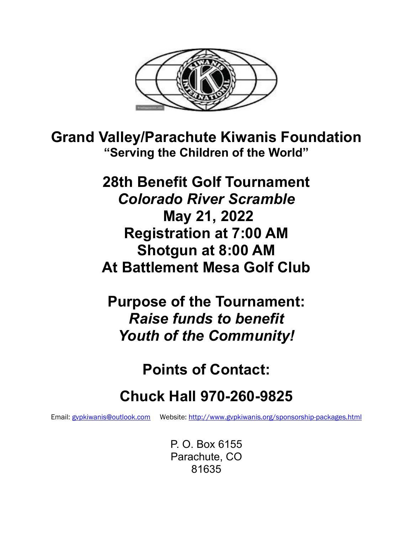

**Grand Valley/Parachute Kiwanis Foundation "Serving the Children of the World"**

> **28th Benefit Golf Tournament** *Colorado River Scramble* **May 21, 2022 Registration at 7:00 AM Shotgun at 8:00 AM At Battlement Mesa Golf Club**

**Purpose of the Tournament:** *Raise funds to benefit Youth of the Community!*

**Points of Contact:**

# **Chuck Hall 970-260-9825**

Email: [gvpkiwanis@outlook.com](mailto:gvpkiwanis@outlook.com) Website:<http://www.gvpkiwanis.org/sponsorship-packages.html>

P. O. Box 6155 Parachute, CO 81635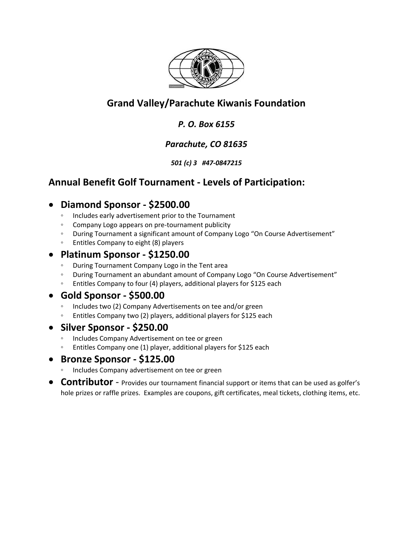

# **Grand Valley/Parachute Kiwanis Foundation**

#### *P. O. Box 6155*

## *Parachute, CO 81635*

#### *501 (c) 3 #47-0847215*

## **Annual Benefit Golf Tournament - Levels of Participation:**

## • **Diamond Sponsor - \$2500.00**

- Includes early advertisement prior to the Tournament
- Company Logo appears on pre-tournament publicity
- During Tournament a significant amount of Company Logo "On Course Advertisement"
- Entitles Company to eight (8) players

#### • **Platinum Sponsor - \$1250.00**

- During Tournament Company Logo in the Tent area
- During Tournament an abundant amount of Company Logo "On Course Advertisement"
- Entitles Company to four (4) players, additional players for \$125 each

## • **Gold Sponsor - \$500.00**

- Includes two (2) Company Advertisements on tee and/or green
- Entitles Company two (2) players, additional players for \$125 each

## • **Silver Sponsor - \$250.00**

- Includes Company Advertisement on tee or green
- Entitles Company one (1) player, additional players for \$125 each

## • **Bronze Sponsor - \$125.00**

- Includes Company advertisement on tee or green
- **Contributor** Provides our tournament financial support or items that can be used as golfer's hole prizes or raffle prizes. Examples are coupons, gift certificates, meal tickets, clothing items, etc.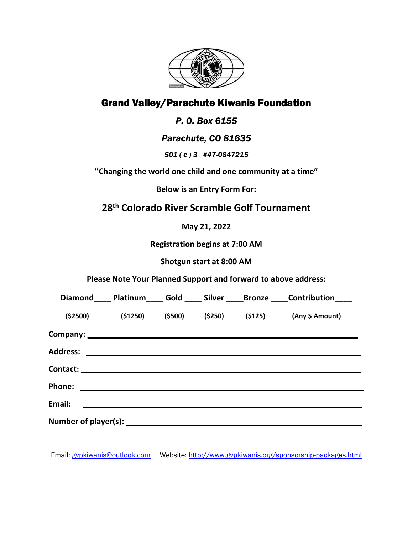

# Grand Valley/Parachute Kiwanis Foundation

#### *P. O. Box 6155*

#### *Parachute, CO 81635*

*501 ( c ) 3 #47-0847215*

**"Changing the world one child and one community at a time"**

**Below is an Entry Form For:**

## **28 th Colorado River Scramble Golf Tournament**

**May 21, 2022**

**Registration begins at 7:00 AM**

**Shotgun start at 8:00 AM**

**Please Note Your Planned Support and forward to above address:**

|                 |           |          |         | Diamond______ Platinum_______ Gold ______ Silver ______Bronze ______ Contribution______ |
|-----------------|-----------|----------|---------|-----------------------------------------------------------------------------------------|
| ( \$2500)       | ( \$1250) | ( \$500) | (\$250) | $(5125)$ (Any \$ Amount)                                                                |
|                 |           |          |         |                                                                                         |
| <b>Address:</b> |           |          |         |                                                                                         |
|                 |           |          |         |                                                                                         |
| <b>Phone:</b>   |           |          |         |                                                                                         |
| Email:          |           |          |         |                                                                                         |
|                 |           |          |         |                                                                                         |

Email: [gvpkiwanis@outlook.com](mailto:gvpkiwanis@outlook.com) Website:<http://www.gvpkiwanis.org/sponsorship-packages.html>